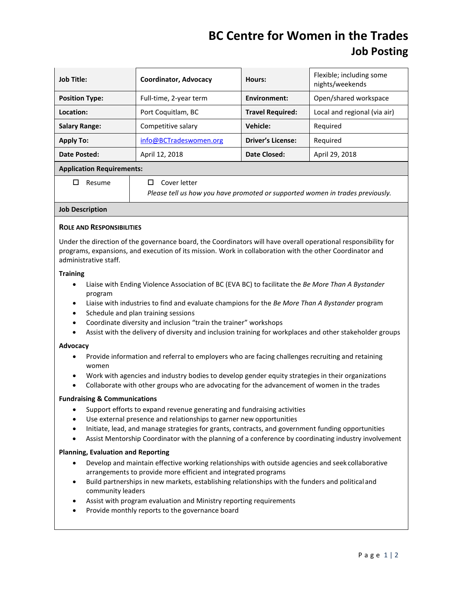# **BC Centre for Women in the Trades Job Posting**

| <b>Job Title:</b>                | Coordinator, Advocacy  | Hours:                   | Flexible; including some<br>nights/weekends |  |
|----------------------------------|------------------------|--------------------------|---------------------------------------------|--|
| <b>Position Type:</b>            | Full-time, 2-year term | Environment:             | Open/shared workspace                       |  |
| Location:                        | Port Coquitlam, BC     | <b>Travel Required:</b>  | Local and regional (via air)                |  |
| <b>Salary Range:</b>             | Competitive salary     | Vehicle:                 | Reguired                                    |  |
| <b>Apply To:</b>                 | info@BCTradeswomen.org | <b>Driver's License:</b> | Reguired                                    |  |
| Date Posted:                     | April 12, 2018         | Date Closed:             | April 29, 2018                              |  |
| <b>Application Requirements:</b> |                        |                          |                                             |  |

 $\Box$  Resume  $\Box$  Cover letter

*Please tell us how you have promoted or supported women in trades previously.*

## **Job Description**

## **ROLE AND RESPONSIBILITIES**

Under the direction of the governance board, the Coordinators will have overall operational responsibility for programs, expansions, and execution of its mission. Work in collaboration with the other Coordinator and administrative staff.

#### **Training**

- Liaise with Ending Violence Association of BC (EVA BC) to facilitate the *Be More Than A Bystander* program
- Liaise with industries to find and evaluate champions for the *Be More Than A Bystander* program
- Schedule and plan training sessions
- Coordinate diversity and inclusion "train the trainer" workshops
- Assist with the delivery of diversity and inclusion training for workplaces and other stakeholder groups

## **Advocacy**

- Provide information and referral to employers who are facing challenges recruiting and retaining women
- Work with agencies and industry bodies to develop gender equity strategies in their organizations
- Collaborate with other groups who are advocating for the advancement of women in the trades

#### **Fundraising & Communications**

- Support efforts to expand revenue generating and fundraising activities
- Use external presence and relationships to garner new opportunities
- Initiate, lead, and manage strategies for grants, contracts, and government funding opportunities
- Assist Mentorship Coordinator with the planning of a conference by coordinating industry involvement

## **Planning, Evaluation and Reporting**

- Develop and maintain effective working relationships with outside agencies and seek collaborative arrangements to provide more efficient and integrated programs
- Build partnerships in new markets, establishing relationships with the funders and political and community leaders
- Assist with program evaluation and Ministry reporting requirements
- Provide monthly reports to the governance board